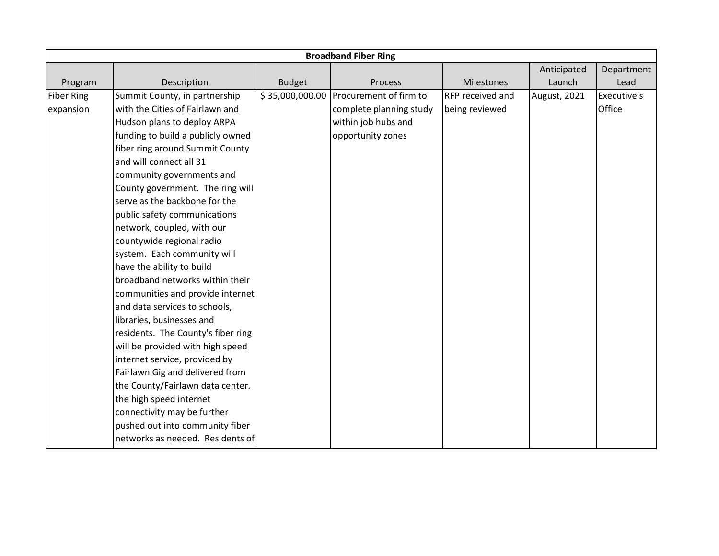|                   |                                    |                 | <b>Broadband Fiber Ring</b> |                  |              |             |
|-------------------|------------------------------------|-----------------|-----------------------------|------------------|--------------|-------------|
|                   |                                    |                 |                             |                  | Anticipated  | Department  |
| Program           | Description                        | <b>Budget</b>   | Process                     | Milestones       | Launch       | Lead        |
| <b>Fiber Ring</b> | Summit County, in partnership      | \$35,000,000.00 | Procurement of firm to      | RFP received and | August, 2021 | Executive's |
| expansion         | with the Cities of Fairlawn and    |                 | complete planning study     | being reviewed   |              | Office      |
|                   | Hudson plans to deploy ARPA        |                 | within job hubs and         |                  |              |             |
|                   | funding to build a publicly owned  |                 | opportunity zones           |                  |              |             |
|                   | fiber ring around Summit County    |                 |                             |                  |              |             |
|                   | and will connect all 31            |                 |                             |                  |              |             |
|                   | community governments and          |                 |                             |                  |              |             |
|                   | County government. The ring will   |                 |                             |                  |              |             |
|                   | serve as the backbone for the      |                 |                             |                  |              |             |
|                   | public safety communications       |                 |                             |                  |              |             |
|                   | network, coupled, with our         |                 |                             |                  |              |             |
|                   | countywide regional radio          |                 |                             |                  |              |             |
|                   | system. Each community will        |                 |                             |                  |              |             |
|                   | have the ability to build          |                 |                             |                  |              |             |
|                   | broadband networks within their    |                 |                             |                  |              |             |
|                   | communities and provide internet   |                 |                             |                  |              |             |
|                   | and data services to schools,      |                 |                             |                  |              |             |
|                   | libraries, businesses and          |                 |                             |                  |              |             |
|                   | residents. The County's fiber ring |                 |                             |                  |              |             |
|                   | will be provided with high speed   |                 |                             |                  |              |             |
|                   | internet service, provided by      |                 |                             |                  |              |             |
|                   | Fairlawn Gig and delivered from    |                 |                             |                  |              |             |
|                   | the County/Fairlawn data center.   |                 |                             |                  |              |             |
|                   | the high speed internet            |                 |                             |                  |              |             |
|                   | connectivity may be further        |                 |                             |                  |              |             |
|                   | pushed out into community fiber    |                 |                             |                  |              |             |
|                   | networks as needed. Residents of   |                 |                             |                  |              |             |
|                   |                                    |                 |                             |                  |              |             |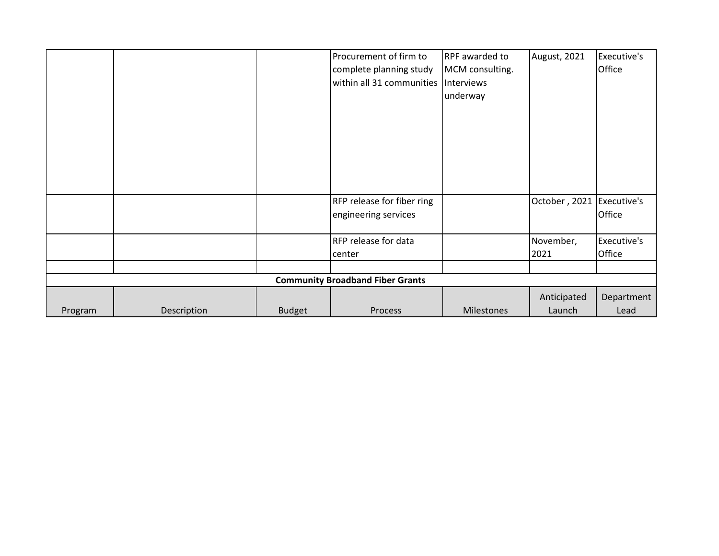|         |                                         |               | Procurement of firm to<br>complete planning study<br>within all 31 communities | RPF awarded to<br>MCM consulting.<br>Interviews<br>underway | August, 2021  | Executive's<br>Office |  |  |
|---------|-----------------------------------------|---------------|--------------------------------------------------------------------------------|-------------------------------------------------------------|---------------|-----------------------|--|--|
|         |                                         |               | RFP release for fiber ring<br>engineering services                             |                                                             | October, 2021 | Executive's<br>Office |  |  |
|         |                                         |               | <b>RFP</b> release for data                                                    |                                                             | November,     | Executive's           |  |  |
|         |                                         |               | center                                                                         |                                                             | 2021          | Office                |  |  |
|         | <b>Community Broadband Fiber Grants</b> |               |                                                                                |                                                             |               |                       |  |  |
|         |                                         |               |                                                                                |                                                             | Anticipated   | Department            |  |  |
| Program | Description                             | <b>Budget</b> | <b>Process</b>                                                                 | Milestones                                                  | Launch        | Lead                  |  |  |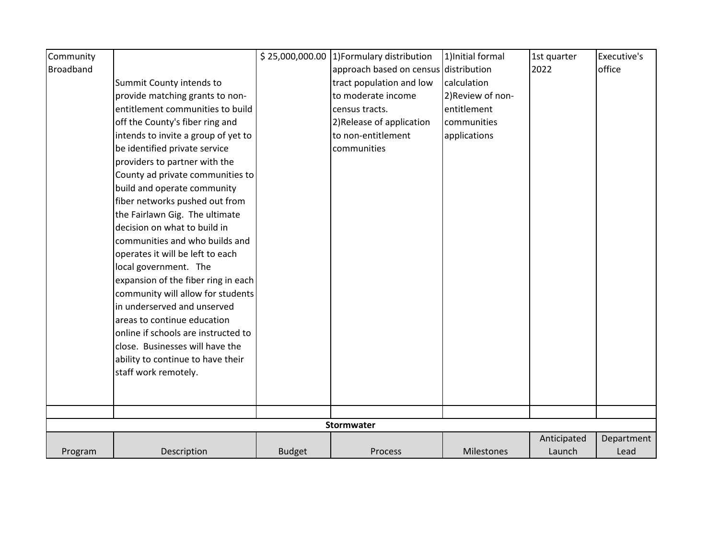| Community        |                                     |               | $$25,000,000.00$ 1)Formulary distribution | 1) Initial formal | 1st quarter | Executive's |
|------------------|-------------------------------------|---------------|-------------------------------------------|-------------------|-------------|-------------|
| <b>Broadband</b> |                                     |               | approach based on census distribution     |                   | 2022        | office      |
|                  | Summit County intends to            |               | tract population and low                  | calculation       |             |             |
|                  | provide matching grants to non-     |               | to moderate income                        | 2) Review of non- |             |             |
|                  | entitlement communities to build    |               | census tracts.                            | entitlement       |             |             |
|                  | off the County's fiber ring and     |               | 2) Release of application                 | communities       |             |             |
|                  | intends to invite a group of yet to |               | to non-entitlement                        | applications      |             |             |
|                  | be identified private service       |               | communities                               |                   |             |             |
|                  | providers to partner with the       |               |                                           |                   |             |             |
|                  | County ad private communities to    |               |                                           |                   |             |             |
|                  | build and operate community         |               |                                           |                   |             |             |
|                  | fiber networks pushed out from      |               |                                           |                   |             |             |
|                  | the Fairlawn Gig. The ultimate      |               |                                           |                   |             |             |
|                  | decision on what to build in        |               |                                           |                   |             |             |
|                  | communities and who builds and      |               |                                           |                   |             |             |
|                  | operates it will be left to each    |               |                                           |                   |             |             |
|                  | local government. The               |               |                                           |                   |             |             |
|                  | expansion of the fiber ring in each |               |                                           |                   |             |             |
|                  | community will allow for students   |               |                                           |                   |             |             |
|                  | in underserved and unserved         |               |                                           |                   |             |             |
|                  | areas to continue education         |               |                                           |                   |             |             |
|                  | online if schools are instructed to |               |                                           |                   |             |             |
|                  | close. Businesses will have the     |               |                                           |                   |             |             |
|                  | ability to continue to have their   |               |                                           |                   |             |             |
|                  | staff work remotely.                |               |                                           |                   |             |             |
|                  |                                     |               |                                           |                   |             |             |
|                  |                                     |               |                                           |                   |             |             |
|                  |                                     |               |                                           |                   |             |             |
|                  |                                     |               | Stormwater                                |                   |             |             |
|                  |                                     |               |                                           |                   | Anticipated | Department  |
| Program          | Description                         | <b>Budget</b> | Process                                   | Milestones        | Launch      | Lead        |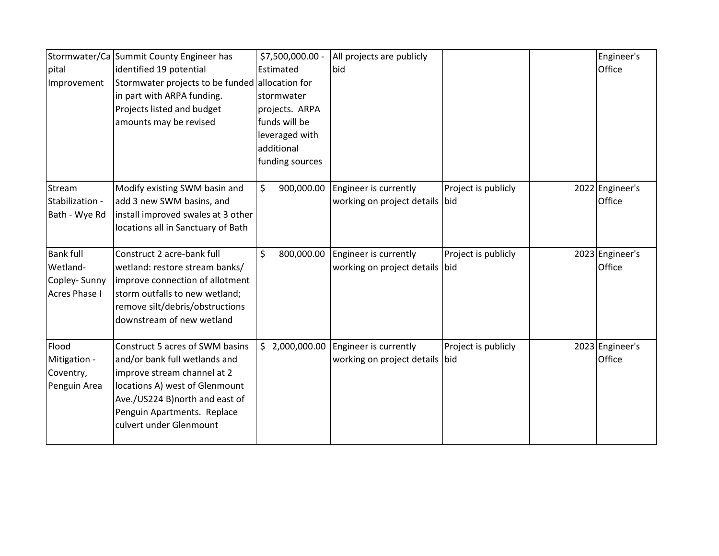| pital<br>Improvement                                                 | Stormwater/Ca Summit County Engineer has<br>identified 19 potential<br>Stormwater projects to be funded allocation for                                                                                                        | \$7,500,000.00 -<br>Estimated                                    | All projects are publicly<br>bid                        |                     | Engineer's<br>Office      |
|----------------------------------------------------------------------|-------------------------------------------------------------------------------------------------------------------------------------------------------------------------------------------------------------------------------|------------------------------------------------------------------|---------------------------------------------------------|---------------------|---------------------------|
|                                                                      | in part with ARPA funding.<br>Projects listed and budget                                                                                                                                                                      | stormwater<br>projects. ARPA                                     |                                                         |                     |                           |
|                                                                      | amounts may be revised                                                                                                                                                                                                        | funds will be<br>leveraged with<br>additional<br>funding sources |                                                         |                     |                           |
| Stream<br>Stabilization -<br>Bath - Wye Rd                           | Modify existing SWM basin and<br>add 3 new SWM basins, and<br>install improved swales at 3 other<br>locations all in Sanctuary of Bath                                                                                        | \$<br>900,000.00                                                 | Engineer is currently<br>working on project details bid | Project is publicly | 2022 Engineer's<br>Office |
| <b>Bank full</b><br>Wetland-<br>Copley-Sunny<br><b>Acres Phase I</b> | Construct 2 acre-bank full<br>wetland: restore stream banks/<br>improve connection of allotment<br>storm outfalls to new wetland;<br>remove silt/debris/obstructions<br>downstream of new wetland                             | \$<br>800,000.00                                                 | Engineer is currently<br>working on project details bid | Project is publicly | 2023 Engineer's<br>Office |
| Flood<br>Mitigation -<br>Coventry,<br>Penguin Area                   | Construct 5 acres of SWM basins<br>and/or bank full wetlands and<br>improve stream channel at 2<br>locations A) west of Glenmount<br>Ave./US224 B)north and east of<br>Penguin Apartments. Replace<br>culvert under Glenmount | \$2,000,000.00                                                   | Engineer is currently<br>working on project details bid | Project is publicly | 2023 Engineer's<br>Office |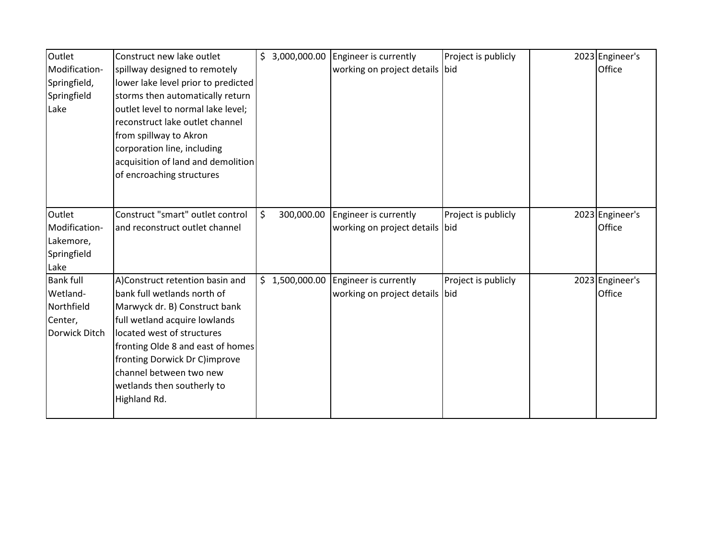| Outlet           | Construct new lake outlet           | \$3,000,000.00   | Engineer is currently          | Project is publicly | 2023 Engineer's |
|------------------|-------------------------------------|------------------|--------------------------------|---------------------|-----------------|
| Modification-    | spillway designed to remotely       |                  | working on project details bid |                     | Office          |
| Springfield,     | lower lake level prior to predicted |                  |                                |                     |                 |
| Springfield      | storms then automatically return    |                  |                                |                     |                 |
| Lake             | outlet level to normal lake level;  |                  |                                |                     |                 |
|                  | reconstruct lake outlet channel     |                  |                                |                     |                 |
|                  | from spillway to Akron              |                  |                                |                     |                 |
|                  | corporation line, including         |                  |                                |                     |                 |
|                  | acquisition of land and demolition  |                  |                                |                     |                 |
|                  | of encroaching structures           |                  |                                |                     |                 |
|                  |                                     |                  |                                |                     |                 |
|                  |                                     |                  |                                |                     |                 |
| Outlet           | Construct "smart" outlet control    | \$<br>300,000.00 | Engineer is currently          | Project is publicly | 2023 Engineer's |
| Modification-    | and reconstruct outlet channel      |                  | working on project details bid |                     | Office          |
| Lakemore,        |                                     |                  |                                |                     |                 |
| Springfield      |                                     |                  |                                |                     |                 |
| Lake             |                                     |                  |                                |                     |                 |
| <b>Bank full</b> | A)Construct retention basin and     | \$1,500,000.00   | Engineer is currently          | Project is publicly | 2023 Engineer's |
| Wetland-         | bank full wetlands north of         |                  | working on project details bid |                     | Office          |
| Northfield       | Marwyck dr. B) Construct bank       |                  |                                |                     |                 |
| Center,          | full wetland acquire lowlands       |                  |                                |                     |                 |
| Dorwick Ditch    | located west of structures          |                  |                                |                     |                 |
|                  | fronting Olde 8 and east of homes   |                  |                                |                     |                 |
|                  | fronting Dorwick Dr C)improve       |                  |                                |                     |                 |
|                  | channel between two new             |                  |                                |                     |                 |
|                  | wetlands then southerly to          |                  |                                |                     |                 |
|                  | Highland Rd.                        |                  |                                |                     |                 |
|                  |                                     |                  |                                |                     |                 |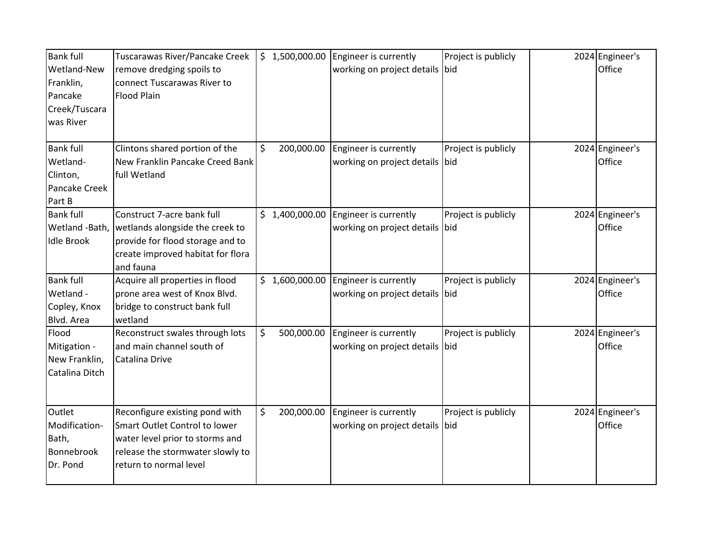| <b>Bank full</b><br>Wetland-New<br>Franklin,<br>Pancake<br>Creek/Tuscara<br>was River | Tuscarawas River/Pancake Creek<br>remove dredging spoils to<br>connect Tuscarawas River to<br><b>Flood Plain</b>                                                 |         | 5 1,500,000.00 | Engineer is currently<br>working on project details     | Project is publicly<br>bid | 2024 Engineer's<br>Office |
|---------------------------------------------------------------------------------------|------------------------------------------------------------------------------------------------------------------------------------------------------------------|---------|----------------|---------------------------------------------------------|----------------------------|---------------------------|
| <b>Bank full</b><br>Wetland-<br>Clinton,<br>Pancake Creek<br>Part B                   | Clintons shared portion of the<br>New Franklin Pancake Creed Bank<br>full Wetland                                                                                | \$      | 200,000.00     | Engineer is currently<br>working on project details     | Project is publicly<br>bid | 2024 Engineer's<br>Office |
| <b>Bank full</b><br>Wetland -Bath,<br><b>Idle Brook</b>                               | Construct 7-acre bank full<br>wetlands alongside the creek to<br>provide for flood storage and to<br>create improved habitat for flora<br>and fauna              |         | \$1,400,000.00 | Engineer is currently<br>working on project details bid | Project is publicly        | 2024 Engineer's<br>Office |
| <b>Bank full</b><br>Wetland -<br>Copley, Knox<br>Blvd. Area                           | Acquire all properties in flood<br>prone area west of Knox Blvd.<br>bridge to construct bank full<br>wetland                                                     |         | \$1,600,000.00 | Engineer is currently<br>working on project details bid | Project is publicly        | 2024 Engineer's<br>Office |
| Flood<br>Mitigation -<br>New Franklin,<br>Catalina Ditch                              | Reconstruct swales through lots<br>and main channel south of<br>Catalina Drive                                                                                   | $\zeta$ | 500,000.00     | Engineer is currently<br>working on project details     | Project is publicly<br>bid | 2024 Engineer's<br>Office |
| Outlet<br>Modification-<br>Bath,<br>Bonnebrook<br>Dr. Pond                            | Reconfigure existing pond with<br>Smart Outlet Control to lower<br>water level prior to storms and<br>release the stormwater slowly to<br>return to normal level | \$      | 200,000.00     | Engineer is currently<br>working on project details     | Project is publicly<br>bid | 2024 Engineer's<br>Office |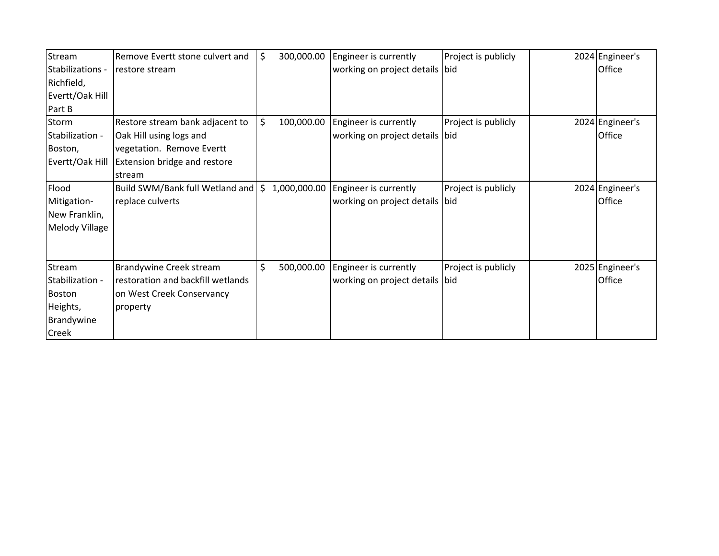| Stream           | Remove Evertt stone culvert and     | \$<br>300,000.00 | Engineer is currently          | Project is publicly | 2024 Engineer's |
|------------------|-------------------------------------|------------------|--------------------------------|---------------------|-----------------|
| Stabilizations - | restore stream                      |                  | working on project details bid |                     | Office          |
| Richfield,       |                                     |                  |                                |                     |                 |
| Evertt/Oak Hill  |                                     |                  |                                |                     |                 |
| Part B           |                                     |                  |                                |                     |                 |
| Storm            | Restore stream bank adjacent to     | \$<br>100,000.00 | Engineer is currently          | Project is publicly | 2024 Engineer's |
| Stabilization -  | Oak Hill using logs and             |                  | working on project details bid |                     | Office          |
| Boston,          | vegetation. Remove Evertt           |                  |                                |                     |                 |
| Evertt/Oak Hill  | <b>Extension bridge and restore</b> |                  |                                |                     |                 |
|                  | stream                              |                  |                                |                     |                 |
| Flood            | Build SWM/Bank full Wetland and     | \$1,000,000.00   | Engineer is currently          | Project is publicly | 2024 Engineer's |
| Mitigation-      | replace culverts                    |                  | working on project details bid |                     | Office          |
| New Franklin,    |                                     |                  |                                |                     |                 |
| Melody Village   |                                     |                  |                                |                     |                 |
|                  |                                     |                  |                                |                     |                 |
|                  |                                     |                  |                                |                     |                 |
| Stream           | <b>Brandywine Creek stream</b>      | \$<br>500,000.00 | Engineer is currently          | Project is publicly | 2025 Engineer's |
| Stabilization -  | restoration and backfill wetlands   |                  | working on project details bid |                     | Office          |
| Boston           | on West Creek Conservancy           |                  |                                |                     |                 |
| Heights,         | property                            |                  |                                |                     |                 |
| Brandywine       |                                     |                  |                                |                     |                 |
| Creek            |                                     |                  |                                |                     |                 |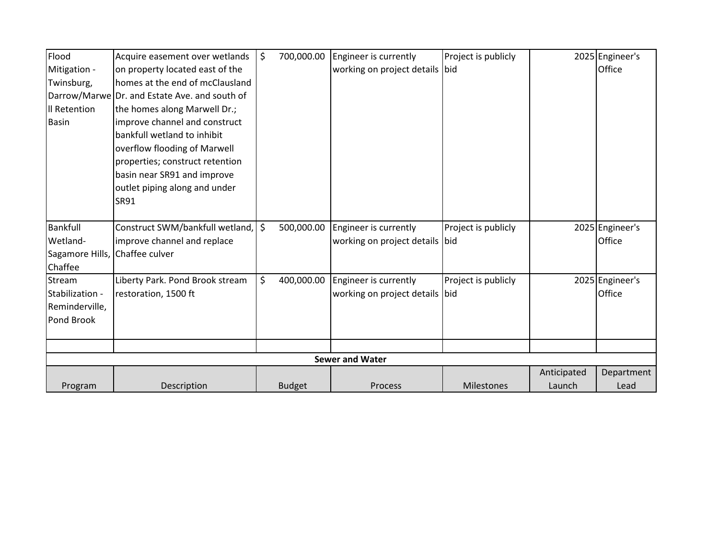| Flood                          | Acquire easement over wetlands                | \$ | 700,000.00    | Engineer is currently          | Project is publicly |             | 2025 Engineer's |
|--------------------------------|-----------------------------------------------|----|---------------|--------------------------------|---------------------|-------------|-----------------|
| Mitigation -                   | on property located east of the               |    |               | working on project details bid |                     |             | Office          |
| Twinsburg,                     | homes at the end of mcClausland               |    |               |                                |                     |             |                 |
|                                | Darrow/Marwe Dr. and Estate Ave. and south of |    |               |                                |                     |             |                 |
| Il Retention                   | the homes along Marwell Dr.;                  |    |               |                                |                     |             |                 |
| <b>Basin</b>                   | improve channel and construct                 |    |               |                                |                     |             |                 |
|                                | bankfull wetland to inhibit                   |    |               |                                |                     |             |                 |
|                                | overflow flooding of Marwell                  |    |               |                                |                     |             |                 |
|                                | properties; construct retention               |    |               |                                |                     |             |                 |
|                                | basin near SR91 and improve                   |    |               |                                |                     |             |                 |
|                                | outlet piping along and under                 |    |               |                                |                     |             |                 |
|                                | SR91                                          |    |               |                                |                     |             |                 |
|                                |                                               |    |               |                                |                     |             |                 |
| Bankfull                       | Construct SWM/bankfull wetland,               | Ŝ. | 500,000.00    | Engineer is currently          | Project is publicly |             | 2025 Engineer's |
| Wetland-                       | improve channel and replace                   |    |               | working on project details bid |                     |             | Office          |
| Sagamore Hills, Chaffee culver |                                               |    |               |                                |                     |             |                 |
| Chaffee                        |                                               |    |               |                                |                     |             |                 |
| Stream                         | Liberty Park. Pond Brook stream               | \$ | 400,000.00    | Engineer is currently          | Project is publicly |             | 2025 Engineer's |
| Stabilization -                | restoration, 1500 ft                          |    |               | working on project details bid |                     |             | Office          |
| Reminderville,                 |                                               |    |               |                                |                     |             |                 |
| Pond Brook                     |                                               |    |               |                                |                     |             |                 |
|                                |                                               |    |               |                                |                     |             |                 |
|                                |                                               |    |               |                                |                     |             |                 |
|                                |                                               |    |               | <b>Sewer and Water</b>         |                     |             |                 |
|                                |                                               |    |               |                                |                     | Anticipated | Department      |
| Program                        | Description                                   |    | <b>Budget</b> | <b>Process</b>                 | Milestones          | Launch      | Lead            |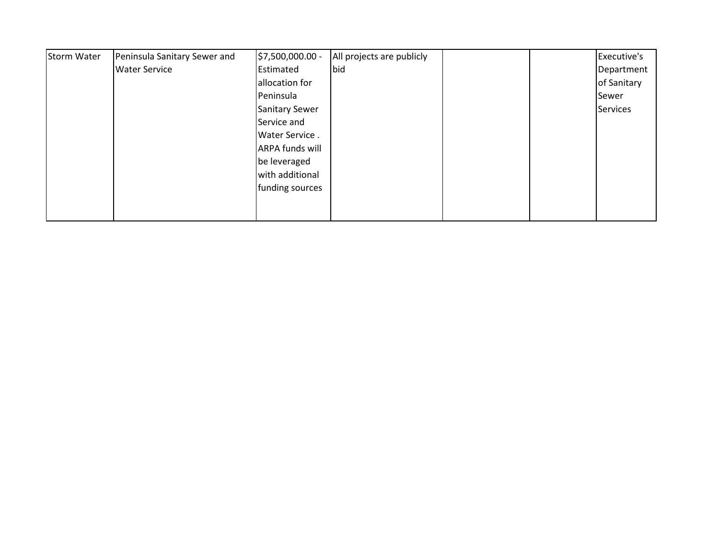| <b>Storm Water</b> | Peninsula Sanitary Sewer and | \$7,500,000.00 -       | All projects are publicly |  | Executive's |
|--------------------|------------------------------|------------------------|---------------------------|--|-------------|
|                    | <b>Water Service</b>         | Estimated              | bid                       |  | Department  |
|                    |                              | allocation for         |                           |  | of Sanitary |
|                    |                              | Peninsula              |                           |  | Sewer       |
|                    |                              | <b>Sanitary Sewer</b>  |                           |  | Services    |
|                    |                              | Service and            |                           |  |             |
|                    |                              | Water Service.         |                           |  |             |
|                    |                              | <b>ARPA funds will</b> |                           |  |             |
|                    |                              | be leveraged           |                           |  |             |
|                    |                              | with additional        |                           |  |             |
|                    |                              | funding sources        |                           |  |             |
|                    |                              |                        |                           |  |             |
|                    |                              |                        |                           |  |             |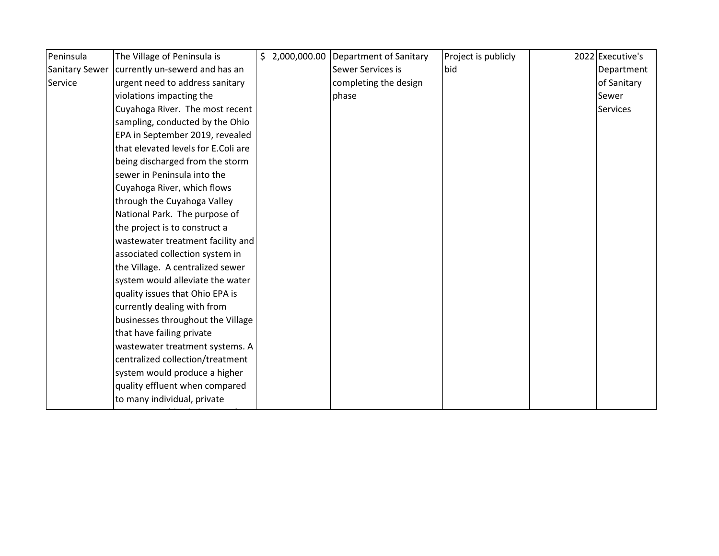| The Village of Peninsula is         |  | $\frac{1}{2}$ ,000,000.00 Department of Sanitary | Project is publicly | 2022 Executive's |
|-------------------------------------|--|--------------------------------------------------|---------------------|------------------|
| currently un-sewerd and has an      |  | Sewer Services is                                | bid                 | Department       |
| urgent need to address sanitary     |  | completing the design                            |                     | of Sanitary      |
| violations impacting the            |  | phase                                            |                     | Sewer            |
| Cuyahoga River. The most recent     |  |                                                  |                     | <b>Services</b>  |
| sampling, conducted by the Ohio     |  |                                                  |                     |                  |
| EPA in September 2019, revealed     |  |                                                  |                     |                  |
| that elevated levels for E.Coli are |  |                                                  |                     |                  |
| being discharged from the storm     |  |                                                  |                     |                  |
| sewer in Peninsula into the         |  |                                                  |                     |                  |
| Cuyahoga River, which flows         |  |                                                  |                     |                  |
| through the Cuyahoga Valley         |  |                                                  |                     |                  |
| National Park. The purpose of       |  |                                                  |                     |                  |
| the project is to construct a       |  |                                                  |                     |                  |
| wastewater treatment facility and   |  |                                                  |                     |                  |
| associated collection system in     |  |                                                  |                     |                  |
| the Village. A centralized sewer    |  |                                                  |                     |                  |
| system would alleviate the water    |  |                                                  |                     |                  |
| quality issues that Ohio EPA is     |  |                                                  |                     |                  |
| currently dealing with from         |  |                                                  |                     |                  |
| businesses throughout the Village   |  |                                                  |                     |                  |
| that have failing private           |  |                                                  |                     |                  |
| wastewater treatment systems. A     |  |                                                  |                     |                  |
| centralized collection/treatment    |  |                                                  |                     |                  |
| system would produce a higher       |  |                                                  |                     |                  |
| quality effluent when compared      |  |                                                  |                     |                  |
| to many individual, private         |  |                                                  |                     |                  |
|                                     |  |                                                  |                     |                  |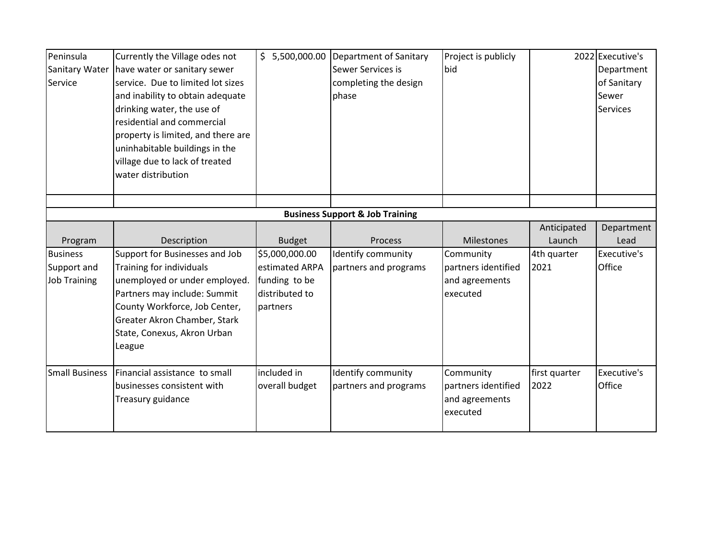| Peninsula                                  | Currently the Village odes not     | \$5,500,000.00 | Department of Sanitary | Project is publicly |               | 2022 Executive's |  |  |  |  |
|--------------------------------------------|------------------------------------|----------------|------------------------|---------------------|---------------|------------------|--|--|--|--|
| Sanitary Water                             | have water or sanitary sewer       |                | Sewer Services is      | bid                 |               | Department       |  |  |  |  |
| Service                                    | service. Due to limited lot sizes  |                | completing the design  |                     |               | of Sanitary      |  |  |  |  |
|                                            | and inability to obtain adequate   |                | phase                  |                     |               | Sewer            |  |  |  |  |
|                                            | drinking water, the use of         |                |                        |                     |               | <b>Services</b>  |  |  |  |  |
|                                            | residential and commercial         |                |                        |                     |               |                  |  |  |  |  |
|                                            | property is limited, and there are |                |                        |                     |               |                  |  |  |  |  |
|                                            | uninhabitable buildings in the     |                |                        |                     |               |                  |  |  |  |  |
|                                            | village due to lack of treated     |                |                        |                     |               |                  |  |  |  |  |
|                                            | water distribution                 |                |                        |                     |               |                  |  |  |  |  |
|                                            |                                    |                |                        |                     |               |                  |  |  |  |  |
|                                            |                                    |                |                        |                     |               |                  |  |  |  |  |
| <b>Business Support &amp; Job Training</b> |                                    |                |                        |                     |               |                  |  |  |  |  |
|                                            |                                    |                |                        |                     | Anticipated   | Department       |  |  |  |  |
| Program                                    | Description                        | <b>Budget</b>  | Process                | <b>Milestones</b>   | Launch        | Lead             |  |  |  |  |
| <b>Business</b>                            | Support for Businesses and Job     | \$5,000,000.00 | Identify community     | Community           | 4th quarter   | Executive's      |  |  |  |  |
| Support and                                | Training for individuals           | estimated ARPA | partners and programs  | partners identified | 2021          | Office           |  |  |  |  |
| <b>Job Training</b>                        | unemployed or under employed.      | funding to be  |                        | and agreements      |               |                  |  |  |  |  |
|                                            | Partners may include: Summit       | distributed to |                        | executed            |               |                  |  |  |  |  |
|                                            | County Workforce, Job Center,      | partners       |                        |                     |               |                  |  |  |  |  |
|                                            | Greater Akron Chamber, Stark       |                |                        |                     |               |                  |  |  |  |  |
|                                            | State, Conexus, Akron Urban        |                |                        |                     |               |                  |  |  |  |  |
|                                            | League                             |                |                        |                     |               |                  |  |  |  |  |
|                                            |                                    |                |                        |                     |               |                  |  |  |  |  |
| <b>Small Business</b>                      | Financial assistance to small      | included in    | Identify community     | Community           | first quarter | Executive's      |  |  |  |  |
|                                            | businesses consistent with         | overall budget | partners and programs  | partners identified | 2022          | Office           |  |  |  |  |
|                                            | Treasury guidance                  |                |                        | and agreements      |               |                  |  |  |  |  |
|                                            |                                    |                |                        | executed            |               |                  |  |  |  |  |
|                                            |                                    |                |                        |                     |               |                  |  |  |  |  |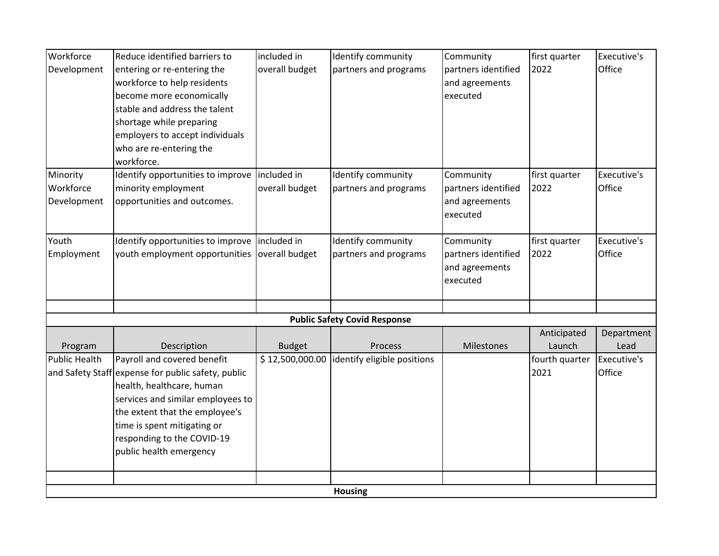| Workforce            | Reduce identified barriers to                      | included in     | Identify community                  | Community           | first quarter  | Executive's |
|----------------------|----------------------------------------------------|-----------------|-------------------------------------|---------------------|----------------|-------------|
| Development          | entering or re-entering the                        | overall budget  | partners and programs               | partners identified | 2022           | Office      |
|                      | workforce to help residents                        |                 |                                     | and agreements      |                |             |
|                      | become more economically                           |                 |                                     | executed            |                |             |
|                      | stable and address the talent                      |                 |                                     |                     |                |             |
|                      | shortage while preparing                           |                 |                                     |                     |                |             |
|                      | employers to accept individuals                    |                 |                                     |                     |                |             |
|                      | who are re-entering the                            |                 |                                     |                     |                |             |
|                      | workforce.                                         |                 |                                     |                     |                |             |
| Minority             | Identify opportunities to improve included in      |                 | Identify community                  | Community           | first quarter  | Executive's |
| Workforce            | minority employment                                | overall budget  | partners and programs               | partners identified | 2022           | Office      |
| Development          | opportunities and outcomes.                        |                 |                                     | and agreements      |                |             |
|                      |                                                    |                 |                                     | executed            |                |             |
| Youth                | Identify opportunities to improve   included in    |                 | Identify community                  | Community           | first quarter  | Executive's |
| Employment           | youth employment opportunities                     | overall budget  | partners and programs               | partners identified | 2022           | Office      |
|                      |                                                    |                 |                                     | and agreements      |                |             |
|                      |                                                    |                 |                                     | executed            |                |             |
|                      |                                                    |                 |                                     |                     |                |             |
|                      |                                                    |                 | <b>Public Safety Covid Response</b> |                     |                |             |
|                      |                                                    |                 |                                     |                     | Anticipated    | Department  |
| Program              | Description                                        | <b>Budget</b>   | Process                             | Milestones          | Launch         | Lead        |
| <b>Public Health</b> | Payroll and covered benefit                        | \$12,500,000.00 | identify eligible positions         |                     | fourth quarter | Executive's |
|                      | and Safety Staff expense for public safety, public |                 |                                     |                     | 2021           | Office      |
|                      | health, healthcare, human                          |                 |                                     |                     |                |             |
|                      | services and similar employees to                  |                 |                                     |                     |                |             |
|                      | the extent that the employee's                     |                 |                                     |                     |                |             |
|                      | time is spent mitigating or                        |                 |                                     |                     |                |             |
|                      | responding to the COVID-19                         |                 |                                     |                     |                |             |
|                      | public health emergency                            |                 |                                     |                     |                |             |
|                      |                                                    |                 |                                     |                     |                |             |
|                      |                                                    |                 |                                     |                     |                |             |
|                      |                                                    |                 | <b>Housing</b>                      |                     |                |             |